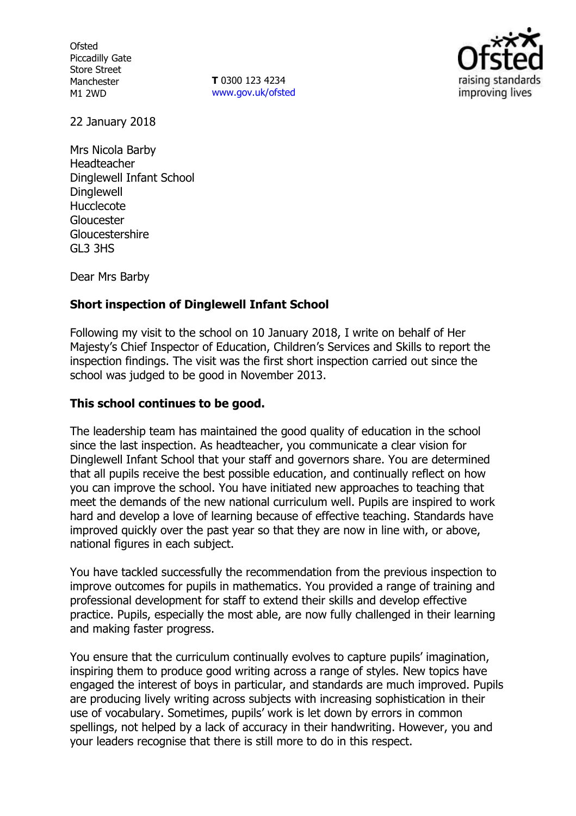**Ofsted** Piccadilly Gate Store Street Manchester M1 2WD

**T** 0300 123 4234 www.gov.uk/ofsted



22 January 2018

Mrs Nicola Barby Headteacher Dinglewell Infant School **Dinglewell** Hucclecote Gloucester Gloucestershire GL3 3HS

Dear Mrs Barby

### **Short inspection of Dinglewell Infant School**

Following my visit to the school on 10 January 2018, I write on behalf of Her Majesty's Chief Inspector of Education, Children's Services and Skills to report the inspection findings. The visit was the first short inspection carried out since the school was judged to be good in November 2013.

#### **This school continues to be good.**

The leadership team has maintained the good quality of education in the school since the last inspection. As headteacher, you communicate a clear vision for Dinglewell Infant School that your staff and governors share. You are determined that all pupils receive the best possible education, and continually reflect on how you can improve the school. You have initiated new approaches to teaching that meet the demands of the new national curriculum well. Pupils are inspired to work hard and develop a love of learning because of effective teaching. Standards have improved quickly over the past year so that they are now in line with, or above, national figures in each subject.

You have tackled successfully the recommendation from the previous inspection to improve outcomes for pupils in mathematics. You provided a range of training and professional development for staff to extend their skills and develop effective practice. Pupils, especially the most able, are now fully challenged in their learning and making faster progress.

You ensure that the curriculum continually evolves to capture pupils' imagination, inspiring them to produce good writing across a range of styles. New topics have engaged the interest of boys in particular, and standards are much improved. Pupils are producing lively writing across subjects with increasing sophistication in their use of vocabulary. Sometimes, pupils' work is let down by errors in common spellings, not helped by a lack of accuracy in their handwriting. However, you and your leaders recognise that there is still more to do in this respect.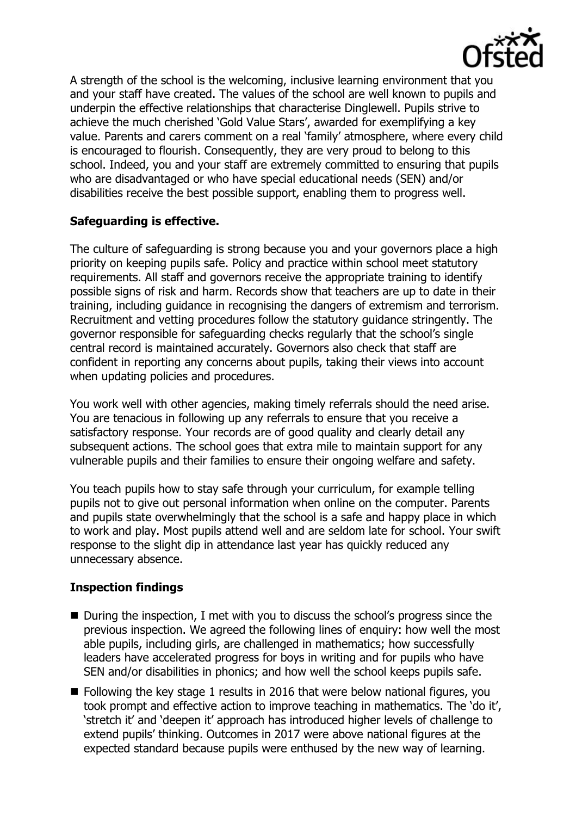

A strength of the school is the welcoming, inclusive learning environment that you and your staff have created. The values of the school are well known to pupils and underpin the effective relationships that characterise Dinglewell. Pupils strive to achieve the much cherished 'Gold Value Stars', awarded for exemplifying a key value. Parents and carers comment on a real 'family' atmosphere, where every child is encouraged to flourish. Consequently, they are very proud to belong to this school. Indeed, you and your staff are extremely committed to ensuring that pupils who are disadvantaged or who have special educational needs (SEN) and/or disabilities receive the best possible support, enabling them to progress well.

## **Safeguarding is effective.**

The culture of safeguarding is strong because you and your governors place a high priority on keeping pupils safe. Policy and practice within school meet statutory requirements. All staff and governors receive the appropriate training to identify possible signs of risk and harm. Records show that teachers are up to date in their training, including guidance in recognising the dangers of extremism and terrorism. Recruitment and vetting procedures follow the statutory guidance stringently. The governor responsible for safeguarding checks regularly that the school's single central record is maintained accurately. Governors also check that staff are confident in reporting any concerns about pupils, taking their views into account when updating policies and procedures.

You work well with other agencies, making timely referrals should the need arise. You are tenacious in following up any referrals to ensure that you receive a satisfactory response. Your records are of good quality and clearly detail any subsequent actions. The school goes that extra mile to maintain support for any vulnerable pupils and their families to ensure their ongoing welfare and safety.

You teach pupils how to stay safe through your curriculum, for example telling pupils not to give out personal information when online on the computer. Parents and pupils state overwhelmingly that the school is a safe and happy place in which to work and play. Most pupils attend well and are seldom late for school. Your swift response to the slight dip in attendance last year has quickly reduced any unnecessary absence.

# **Inspection findings**

- During the inspection, I met with you to discuss the school's progress since the previous inspection. We agreed the following lines of enquiry: how well the most able pupils, including girls, are challenged in mathematics; how successfully leaders have accelerated progress for boys in writing and for pupils who have SEN and/or disabilities in phonics; and how well the school keeps pupils safe.
- $\blacksquare$  Following the key stage 1 results in 2016 that were below national figures, you took prompt and effective action to improve teaching in mathematics. The 'do it', 'stretch it' and 'deepen it' approach has introduced higher levels of challenge to extend pupils' thinking. Outcomes in 2017 were above national figures at the expected standard because pupils were enthused by the new way of learning.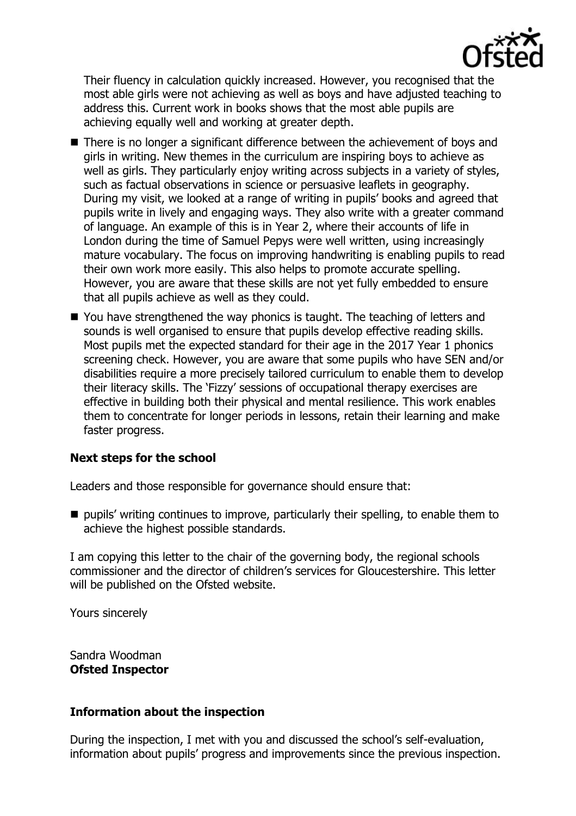

Their fluency in calculation quickly increased. However, you recognised that the most able girls were not achieving as well as boys and have adjusted teaching to address this. Current work in books shows that the most able pupils are achieving equally well and working at greater depth.

- There is no longer a significant difference between the achievement of boys and girls in writing. New themes in the curriculum are inspiring boys to achieve as well as girls. They particularly enjoy writing across subjects in a variety of styles, such as factual observations in science or persuasive leaflets in geography. During my visit, we looked at a range of writing in pupils' books and agreed that pupils write in lively and engaging ways. They also write with a greater command of language. An example of this is in Year 2, where their accounts of life in London during the time of Samuel Pepys were well written, using increasingly mature vocabulary. The focus on improving handwriting is enabling pupils to read their own work more easily. This also helps to promote accurate spelling. However, you are aware that these skills are not yet fully embedded to ensure that all pupils achieve as well as they could.
- You have strengthened the way phonics is taught. The teaching of letters and sounds is well organised to ensure that pupils develop effective reading skills. Most pupils met the expected standard for their age in the 2017 Year 1 phonics screening check. However, you are aware that some pupils who have SEN and/or disabilities require a more precisely tailored curriculum to enable them to develop their literacy skills. The 'Fizzy' sessions of occupational therapy exercises are effective in building both their physical and mental resilience. This work enables them to concentrate for longer periods in lessons, retain their learning and make faster progress.

### **Next steps for the school**

Leaders and those responsible for governance should ensure that:

 $\blacksquare$  pupils' writing continues to improve, particularly their spelling, to enable them to achieve the highest possible standards.

I am copying this letter to the chair of the governing body, the regional schools commissioner and the director of children's services for Gloucestershire. This letter will be published on the Ofsted website.

Yours sincerely

Sandra Woodman **Ofsted Inspector**

### **Information about the inspection**

During the inspection, I met with you and discussed the school's self-evaluation, information about pupils' progress and improvements since the previous inspection.